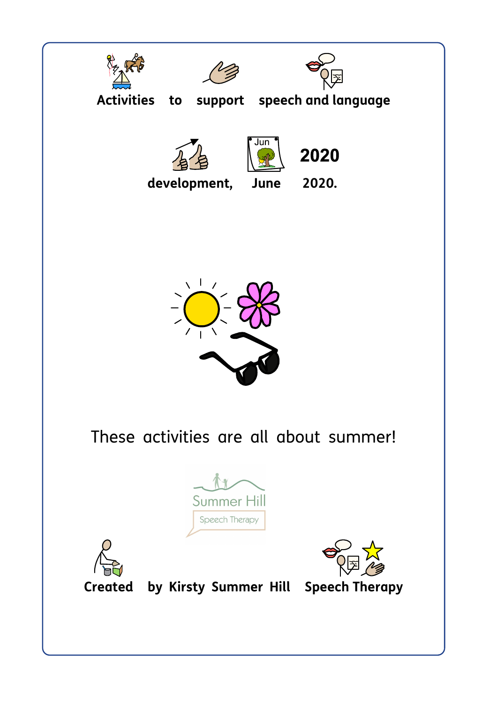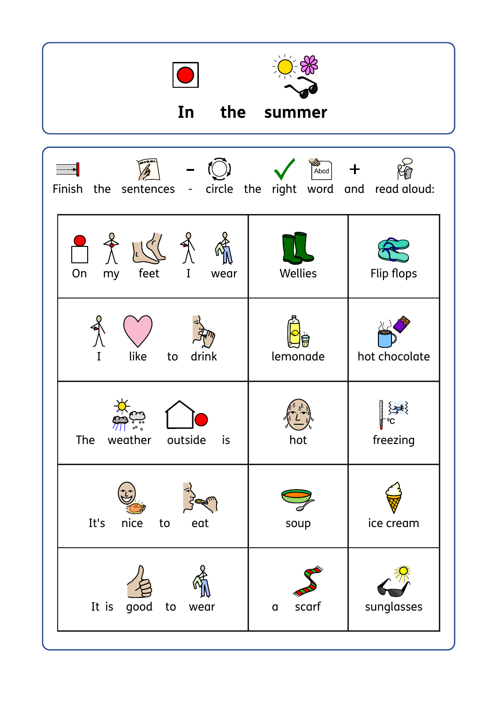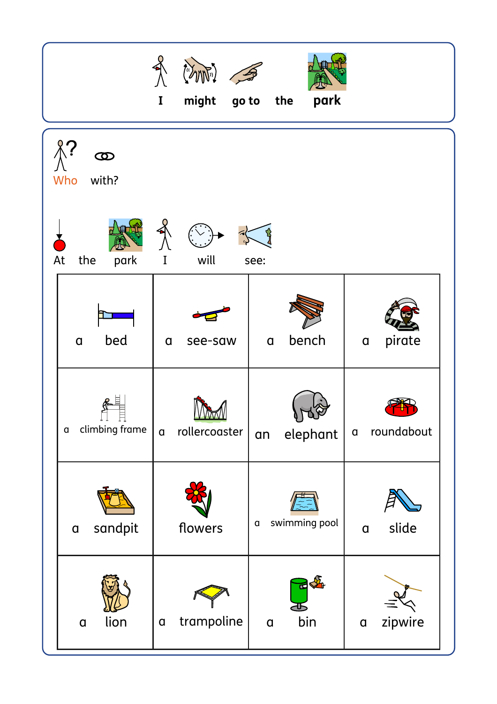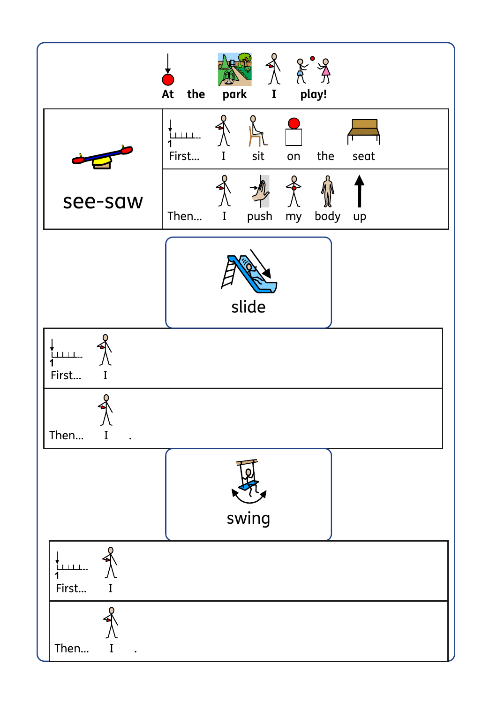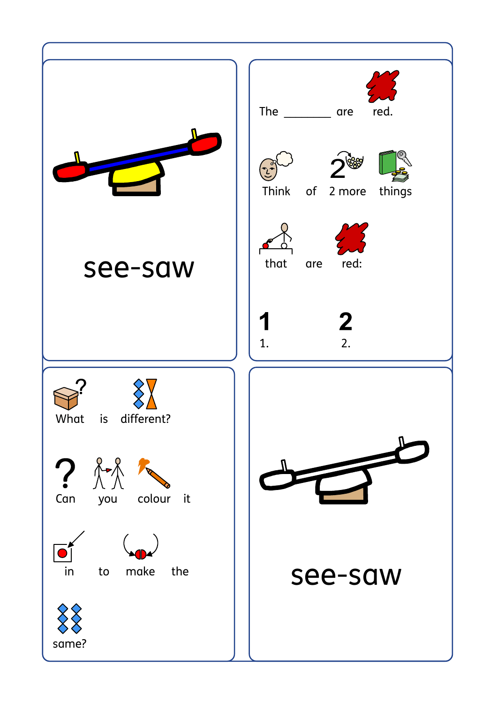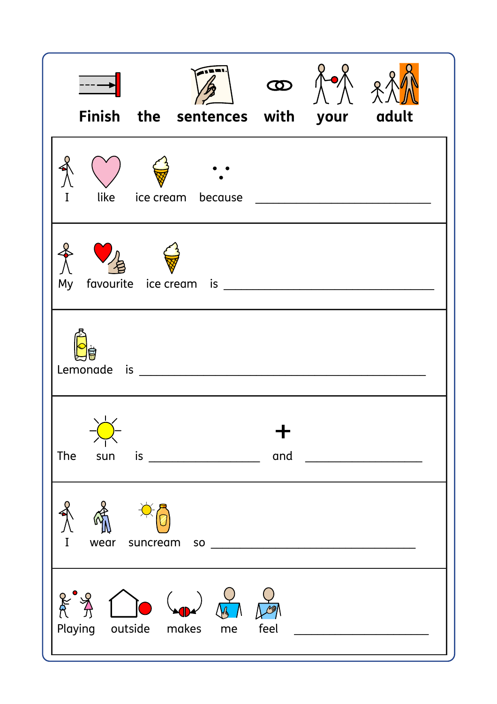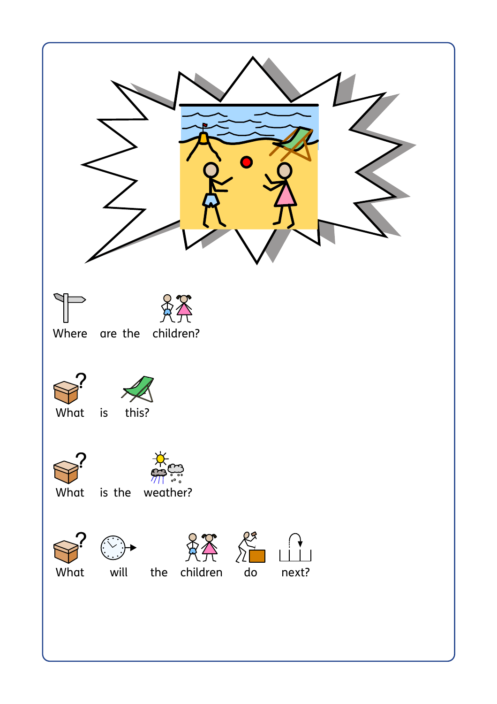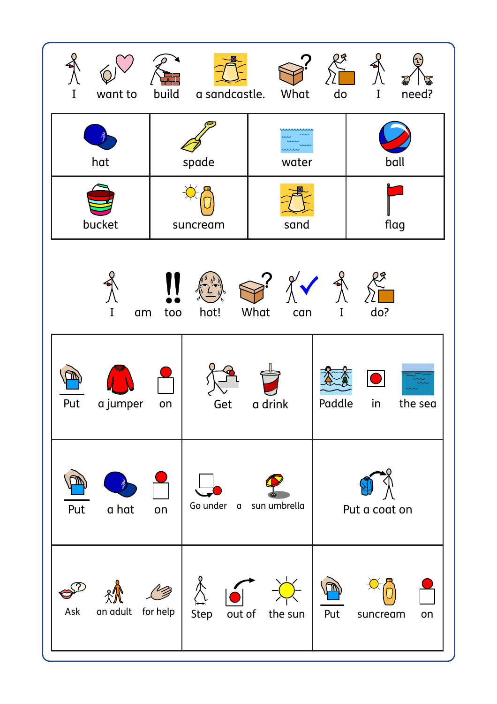